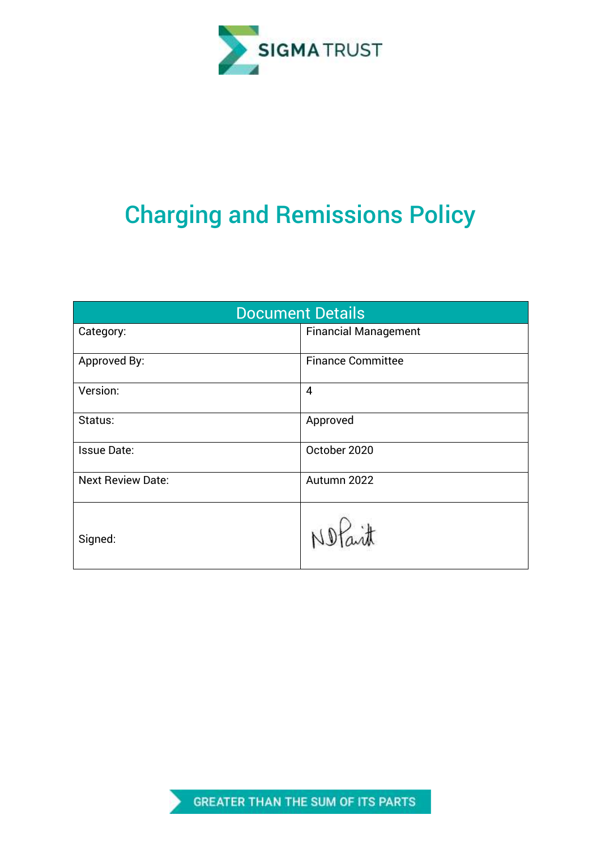

# Charging and Remissions Policy

| <b>Document Details</b>  |                             |  |  |
|--------------------------|-----------------------------|--|--|
| Category:                | <b>Financial Management</b> |  |  |
| Approved By:             | <b>Finance Committee</b>    |  |  |
| Version:                 | 4                           |  |  |
| Status:                  | Approved                    |  |  |
| <b>Issue Date:</b>       | October 2020                |  |  |
| <b>Next Review Date:</b> | Autumn 2022                 |  |  |
| Signed:                  | $\ddot{d}$                  |  |  |

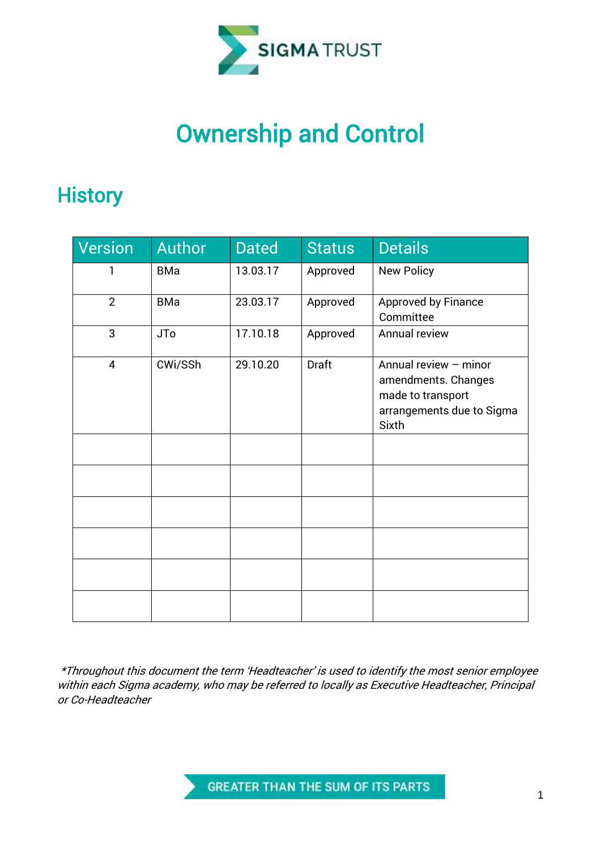

## Ownership and Control

### **History**

| Version        | <b>Author</b> | <b>Dated</b> | <b>Status</b> | <b>Details</b>                                                                                          |
|----------------|---------------|--------------|---------------|---------------------------------------------------------------------------------------------------------|
| 1              | <b>BMa</b>    | 13.03.17     | Approved      | <b>New Policy</b>                                                                                       |
| $\overline{2}$ | <b>BMa</b>    | 23.03.17     | Approved      | Approved by Finance<br>Committee                                                                        |
| 3              | <b>JTo</b>    | 17.10.18     | Approved      | Annual review                                                                                           |
| $\overline{4}$ | CWi/SSh       | 29.10.20     | <b>Draft</b>  | Annual review - minor<br>amendments. Changes<br>made to transport<br>arrangements due to Sigma<br>Sixth |
|                |               |              |               |                                                                                                         |
|                |               |              |               |                                                                                                         |
|                |               |              |               |                                                                                                         |
|                |               |              |               |                                                                                                         |
|                |               |              |               |                                                                                                         |
|                |               |              |               |                                                                                                         |

\*Throughout this document the term 'Headteacher' is used to identify the most senior employee within each Sigma academy, who may be referred to locally as Executive Headteacher, Principal or Co-Headteacher

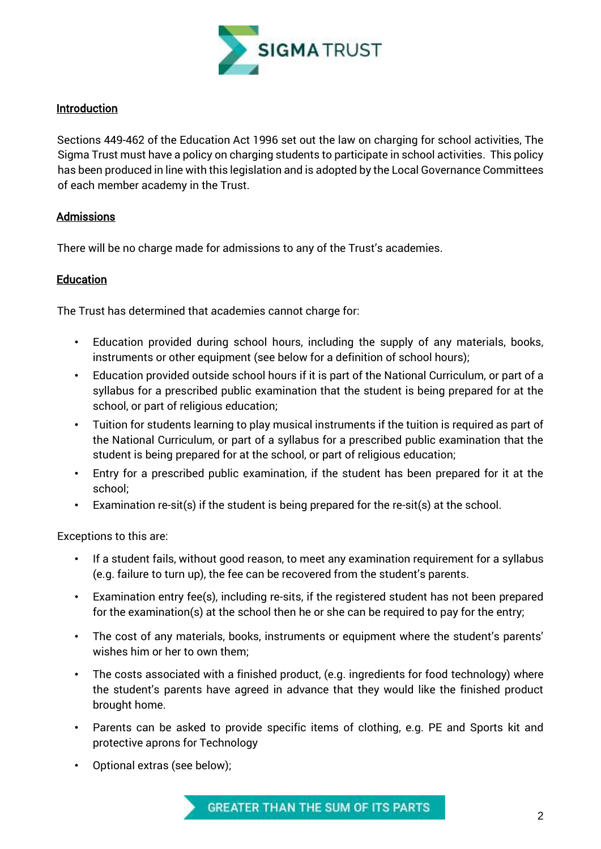

#### **Introduction**

Sections 449-462 of the Education Act 1996 set out the law on charging for school activities, The Sigma Trust must have a policy on charging students to participate in school activities. This policy has been produced in line with this legislation and is adopted by the Local Governance Committees of each member academy in the Trust.

#### Admissions

There will be no charge made for admissions to any of the Trust's academies.

#### **Education**

The Trust has determined that academies cannot charge for:

- Education provided during school hours, including the supply of any materials, books, instruments or other equipment (see below for a definition of school hours);
- Education provided outside school hours if it is part of the National Curriculum, or part of a syllabus for a prescribed public examination that the student is being prepared for at the school, or part of religious education;
- Tuition for students learning to play musical instruments if the tuition is required as part of the National Curriculum, or part of a syllabus for a prescribed public examination that the student is being prepared for at the school, or part of religious education;
- Entry for a prescribed public examination, if the student has been prepared for it at the school;
- Examination re-sit(s) if the student is being prepared for the re-sit(s) at the school.

Exceptions to this are:

- If a student fails, without good reason, to meet any examination requirement for a syllabus (e.g. failure to turn up), the fee can be recovered from the student's parents.
- Examination entry fee(s), including re-sits, if the registered student has not been prepared for the examination(s) at the school then he or she can be required to pay for the entry;
- The cost of any materials, books, instruments or equipment where the student's parents' wishes him or her to own them;
- The costs associated with a finished product, (e.g. ingredients for food technology) where the student's parents have agreed in advance that they would like the finished product brought home.
- Parents can be asked to provide specific items of clothing, e.g. PE and Sports kit and protective aprons for Technology
- Optional extras (see below);

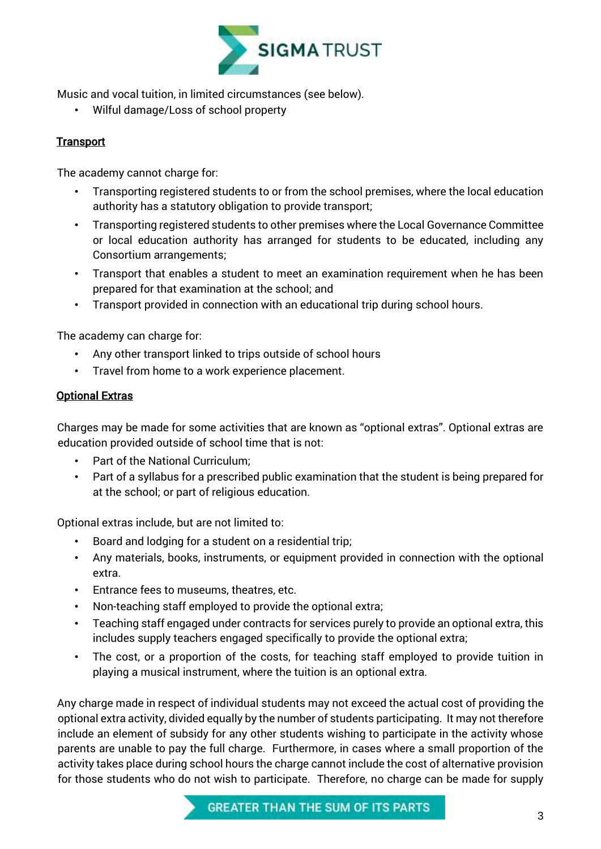

Music and vocal tuition, in limited circumstances (see below).

• Wilful damage/Loss of school property

#### **Transport**

The academy cannot charge for:

- Transporting registered students to or from the school premises, where the local education authority has a statutory obligation to provide transport;
- Transporting registered students to other premises where the Local Governance Committee or local education authority has arranged for students to be educated, including any Consortium arrangements;
- Transport that enables a student to meet an examination requirement when he has been prepared for that examination at the school; and
- Transport provided in connection with an educational trip during school hours.

The academy can charge for:

- Any other transport linked to trips outside of school hours
- Travel from home to a work experience placement.

#### Optional Extras

Charges may be made for some activities that are known as "optional extras". Optional extras are education provided outside of school time that is not:

- Part of the National Curriculum;
- Part of a syllabus for a prescribed public examination that the student is being prepared for at the school; or part of religious education.

Optional extras include, but are not limited to:

- Board and lodging for a student on a residential trip;
- Any materials, books, instruments, or equipment provided in connection with the optional extra.
- Entrance fees to museums, theatres, etc.
- Non-teaching staff employed to provide the optional extra;
- Teaching staff engaged under contracts for services purely to provide an optional extra, this includes supply teachers engaged specifically to provide the optional extra;
- The cost, or a proportion of the costs, for teaching staff employed to provide tuition in playing a musical instrument, where the tuition is an optional extra.

Any charge made in respect of individual students may not exceed the actual cost of providing the optional extra activity, divided equally by the number of students participating. It may not therefore include an element of subsidy for any other students wishing to participate in the activity whose parents are unable to pay the full charge. Furthermore, in cases where a small proportion of the activity takes place during school hours the charge cannot include the cost of alternative provision for those students who do not wish to participate. Therefore, no charge can be made for supply

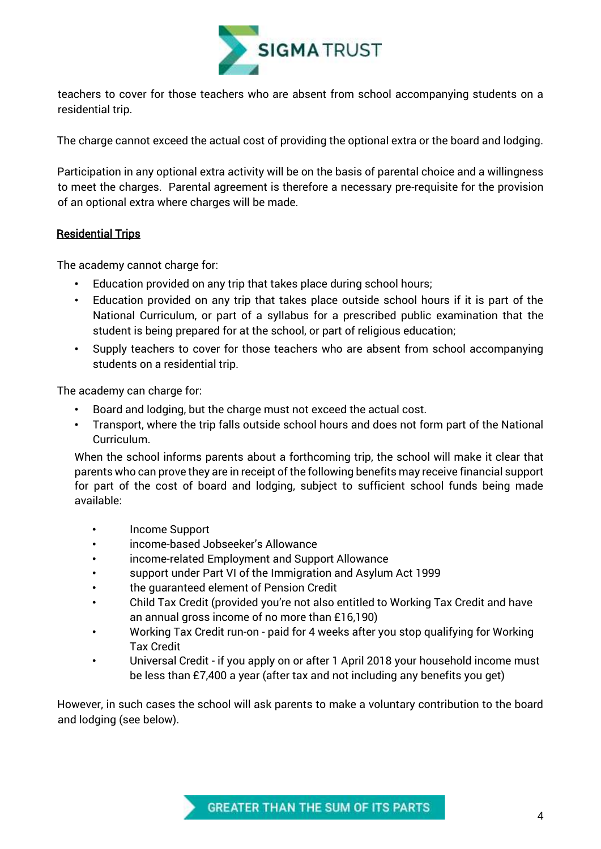

teachers to cover for those teachers who are absent from school accompanying students on a residential trip.

The charge cannot exceed the actual cost of providing the optional extra or the board and lodging.

Participation in any optional extra activity will be on the basis of parental choice and a willingness to meet the charges. Parental agreement is therefore a necessary pre-requisite for the provision of an optional extra where charges will be made.

#### Residential Trips

The academy cannot charge for:

- Education provided on any trip that takes place during school hours;
- Education provided on any trip that takes place outside school hours if it is part of the National Curriculum, or part of a syllabus for a prescribed public examination that the student is being prepared for at the school, or part of religious education;
- Supply teachers to cover for those teachers who are absent from school accompanying students on a residential trip.

The academy can charge for:

- Board and lodging, but the charge must not exceed the actual cost.
- Transport, where the trip falls outside school hours and does not form part of the National Curriculum.

When the school informs parents about a forthcoming trip, the school will make it clear that parents who can prove they are in receipt of the following benefits may receive financial support for part of the cost of board and lodging, subject to sufficient school funds being made available:

- Income Support
- income-based Jobseeker's Allowance
- income-related Employment and Support Allowance
- support under Part VI of the Immigration and Asylum Act 1999
- the guaranteed element of Pension Credit
- Child Tax Credit (provided you're not also entitled to Working Tax Credit and have an annual gross income of no more than £16,190)
- Working Tax Credit run-on paid for 4 weeks after you stop qualifying for Working Tax Credit
- Universal Credit if you apply on or after 1 April 2018 your household income must be less than £7,400 a year (after tax and not including any benefits you get)

However, in such cases the school will ask parents to make a voluntary contribution to the board and lodging (see below).

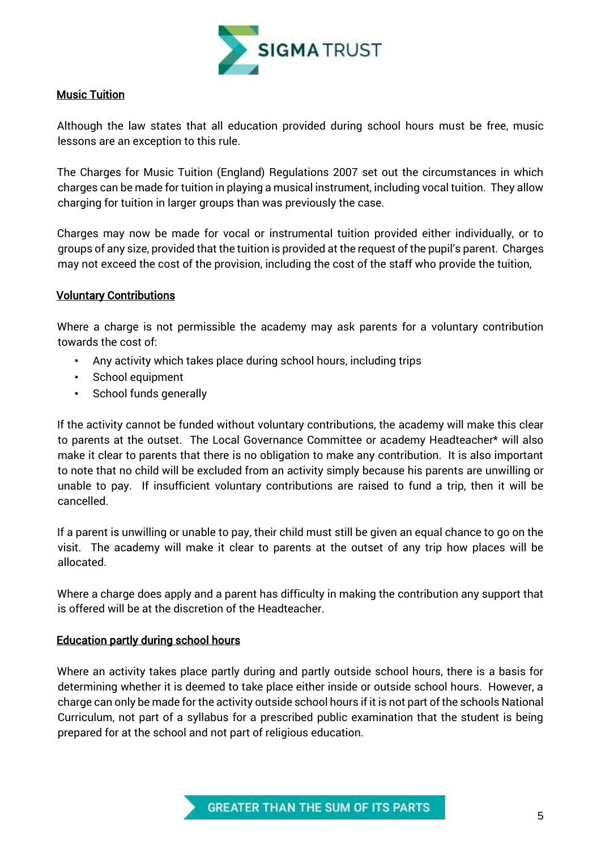

#### Music Tuition

Although the law states that all education provided during school hours must be free, music lessons are an exception to this rule.

The Charges for Music Tuition (England) Regulations 2007 set out the circumstances in which charges can be made for tuition in playing a musical instrument, including vocal tuition. They allow charging for tuition in larger groups than was previously the case.

Charges may now be made for vocal or instrumental tuition provided either individually, or to groups of any size, provided that the tuition is provided at the request of the pupil's parent. Charges may not exceed the cost of the provision, including the cost of the staff who provide the tuition,

#### Voluntary Contributions

Where a charge is not permissible the academy may ask parents for a voluntary contribution towards the cost of:

- Any activity which takes place during school hours, including trips
- School equipment
- School funds generally

If the activity cannot be funded without voluntary contributions, the academy will make this clear to parents at the outset. The Local Governance Committee or academy Headteacher\* will also make it clear to parents that there is no obligation to make any contribution. It is also important to note that no child will be excluded from an activity simply because his parents are unwilling or unable to pay. If insufficient voluntary contributions are raised to fund a trip, then it will be cancelled.

If a parent is unwilling or unable to pay, their child must still be given an equal chance to go on the visit. The academy will make it clear to parents at the outset of any trip how places will be allocated.

Where a charge does apply and a parent has difficulty in making the contribution any support that is offered will be at the discretion of the Headteacher.

#### Education partly during school hours

Where an activity takes place partly during and partly outside school hours, there is a basis for determining whether it is deemed to take place either inside or outside school hours. However, a charge can only be made for the activity outside school hours if it is not part of the schools National Curriculum, not part of a syllabus for a prescribed public examination that the student is being prepared for at the school and not part of religious education.